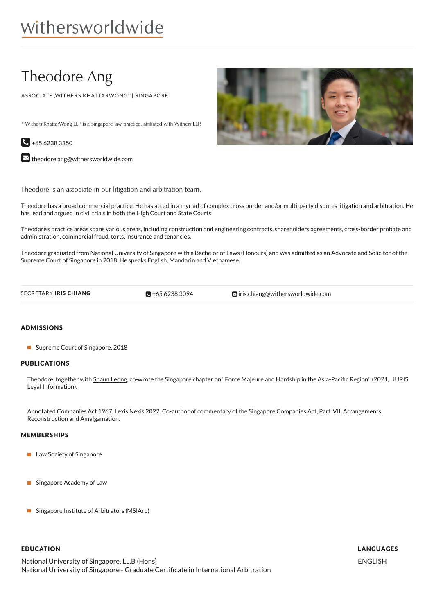# Theodore Ang

ASSOCIATE ,WITHERS KHATTARWONG\* | SINGAPORE

\* Withers KhattarWong LLP is a Singapore law practice, affiliated with Withers LLP.



 $\blacktriangleright$  [theodore.ang@withersworldwide.com](mailto:theodore.ang@withersworldwide.com?subject=Website Enquiry - Profile Page)

Theodore is an associate in our litigation and arbitration team.

Theodore has a broad commercial practice. He has acted in a myriad of complex cross border and/or multi-party disputes litigation and arbitration. He has lead and argued in civil trials in both the High Court and State Courts.

Theodore's practice areas spans various areas, including construction and engineering contracts, shareholders agreements, cross-border probate and administration, commercial fraud, torts, insurance and tenancies.

Theodore graduated from National University of Singapore with a Bachelor of Laws (Honours) and was admitted as an Advocate and Solicitor of the Supreme Court of Singapore in 2018. He speaks English, Mandarin and Vietnamese.

 $\blacksquare$  +65 6238 3094

SECRETARY IRIS CHIANG **CHIANG** +65 [6238](tel:+65 6238 3094) 3094 **inis.chiang@withersworldwide.com** 

### ADMISSIONS

■ Supreme Court of Singapore, 2018

#### PUBLICATIONS

Theodore, together with [Shaun](https://www.withersworldwide.com/en-gb/people/shaun-leong) Leong, co-wrote the Singapore chapter on "Force Majeure and Hardship in the Asia-Pacific Region" (2021, JURIS Legal Information).

Annotated Companies Act 1967, Lexis Nexis 2022, Co-author of commentary of the Singapore Companies Act, Part VII, Arrangements, Reconstruction and Amalgamation.

#### MEMBERSHIPS

- **Law Society of Singapore**
- **Singapore Academy of Law**
- Singapore Institute of Arbitrators (MSIArb)

## EDUCATION

National University of Singapore, LL.B (Hons) National University of Singapore - Graduate Certificate in International Arbitration